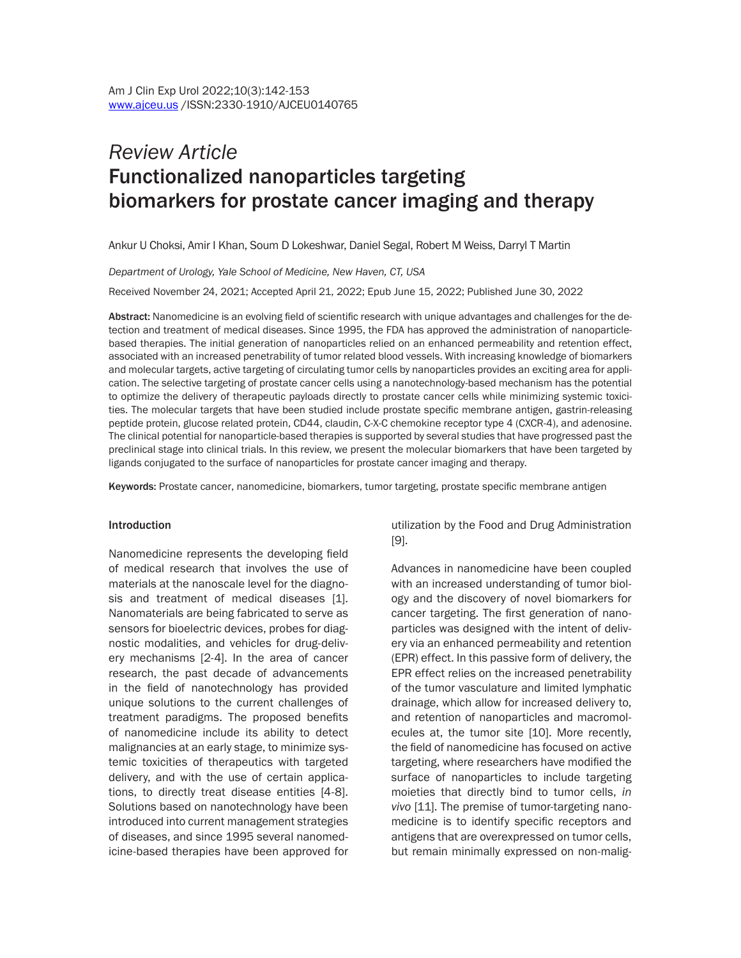# *Review Article* Functionalized nanoparticles targeting biomarkers for prostate cancer imaging and therapy

Ankur U Choksi, Amir I Khan, Soum D Lokeshwar, Daniel Segal, Robert M Weiss, Darryl T Martin

*Department of Urology, Yale School of Medicine, New Haven, CT, USA* 

Received November 24, 2021; Accepted April 21, 2022; Epub June 15, 2022; Published June 30, 2022

Abstract: Nanomedicine is an evolving field of scientific research with unique advantages and challenges for the detection and treatment of medical diseases. Since 1995, the FDA has approved the administration of nanoparticlebased therapies. The initial generation of nanoparticles relied on an enhanced permeability and retention effect, associated with an increased penetrability of tumor related blood vessels. With increasing knowledge of biomarkers and molecular targets, active targeting of circulating tumor cells by nanoparticles provides an exciting area for application. The selective targeting of prostate cancer cells using a nanotechnology-based mechanism has the potential to optimize the delivery of therapeutic payloads directly to prostate cancer cells while minimizing systemic toxicities. The molecular targets that have been studied include prostate specific membrane antigen, gastrin-releasing peptide protein, glucose related protein, CD44, claudin, C-X-C chemokine receptor type 4 (CXCR-4), and adenosine. The clinical potential for nanoparticle-based therapies is supported by several studies that have progressed past the preclinical stage into clinical trials. In this review, we present the molecular biomarkers that have been targeted by ligands conjugated to the surface of nanoparticles for prostate cancer imaging and therapy.

Keywords: Prostate cancer, nanomedicine, biomarkers, tumor targeting, prostate specific membrane antigen

#### Introduction

Nanomedicine represents the developing field of medical research that involves the use of materials at the nanoscale level for the diagnosis and treatment of medical diseases [1]. Nanomaterials are being fabricated to serve as sensors for bioelectric devices, probes for diagnostic modalities, and vehicles for drug-delivery mechanisms [2-4]. In the area of cancer research, the past decade of advancements in the field of nanotechnology has provided unique solutions to the current challenges of treatment paradigms. The proposed benefits of nanomedicine include its ability to detect malignancies at an early stage, to minimize systemic toxicities of therapeutics with targeted delivery, and with the use of certain applications, to directly treat disease entities [4-8]. Solutions based on nanotechnology have been introduced into current management strategies of diseases, and since 1995 several nanomedicine-based therapies have been approved for

utilization by the Food and Drug Administration [9].

Advances in nanomedicine have been coupled with an increased understanding of tumor biology and the discovery of novel biomarkers for cancer targeting. The first generation of nanoparticles was designed with the intent of delivery via an enhanced permeability and retention (EPR) effect. In this passive form of delivery, the EPR effect relies on the increased penetrability of the tumor vasculature and limited lymphatic drainage, which allow for increased delivery to, and retention of nanoparticles and macromolecules at, the tumor site [10]. More recently, the field of nanomedicine has focused on active targeting, where researchers have modified the surface of nanoparticles to include targeting moieties that directly bind to tumor cells, *in vivo* [11]. The premise of tumor-targeting nanomedicine is to identify specific receptors and antigens that are overexpressed on tumor cells, but remain minimally expressed on non-malig-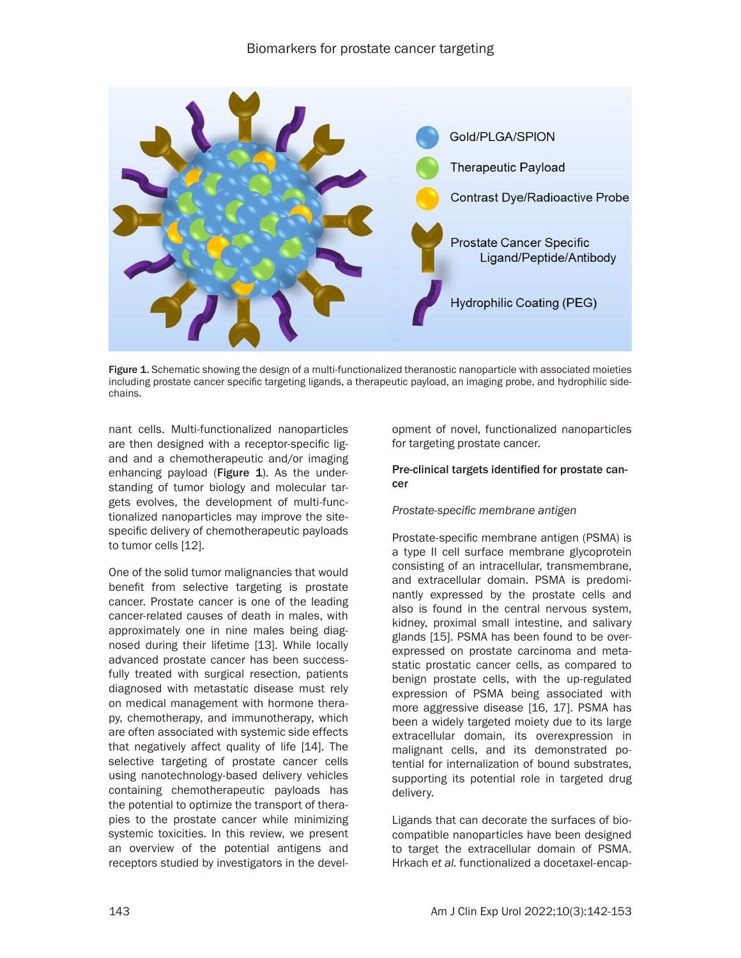

Figure 1. Schematic showing the design of a multi-functionalized theranostic nanoparticle with associated moieties including prostate cancer specific targeting ligands, a therapeutic payload, an imaging probe, and hydrophilic sidechains.

nant cells. Multi-functionalized nanoparticles are then designed with a receptor-specific ligand and a chemotherapeutic and/or imaging enhancing payload (Figure  $1$ ). As the understanding of tumor biology and molecular targets evolves, the development of multi-functionalized nanoparticles may improve the sitespecific delivery of chemotherapeutic payloads to tumor cells [12].

One of the solid tumor malignancies that would benefit from selective targeting is prostate cancer. Prostate cancer is one of the leading cancer-related causes of death in males, with approximately one in nine males being diagnosed during their lifetime [13]. While locally advanced prostate cancer has been successfully treated with surgical resection, patients diagnosed with metastatic disease must rely on medical management with hormone therapy, chemotherapy, and immunotherapy, which are often associated with systemic side effects that negatively affect quality of life [14]. The selective targeting of prostate cancer cells using nanotechnology-based delivery vehicles containing chemotherapeutic payloads has the potential to optimize the transport of therapies to the prostate cancer while minimizing systemic toxicities. In this review, we present an overview of the potential antigens and receptors studied by investigators in the development of novel, functionalized nanoparticles for targeting prostate cancer.

# Pre-clinical targets identified for prostate cancer

# *Prostate-specific membrane antigen*

Prostate-specific membrane antigen (PSMA) is a type II cell surface membrane glycoprotein consisting of an intracellular, transmembrane, and extracellular domain. PSMA is predominantly expressed by the prostate cells and also is found in the central nervous system, kidney, proximal small intestine, and salivary glands [15]. PSMA has been found to be overexpressed on prostate carcinoma and metastatic prostatic cancer cells, as compared to benign prostate cells, with the up-regulated expression of PSMA being associated with more aggressive disease [16, 17]. PSMA has been a widely targeted moiety due to its large extracellular domain, its overexpression in malignant cells, and its demonstrated potential for internalization of bound substrates, supporting its potential role in targeted drug delivery.

Ligands that can decorate the surfaces of biocompatible nanoparticles have been designed to target the extracellular domain of PSMA. Hrkach *et al*. functionalized a docetaxel-encap-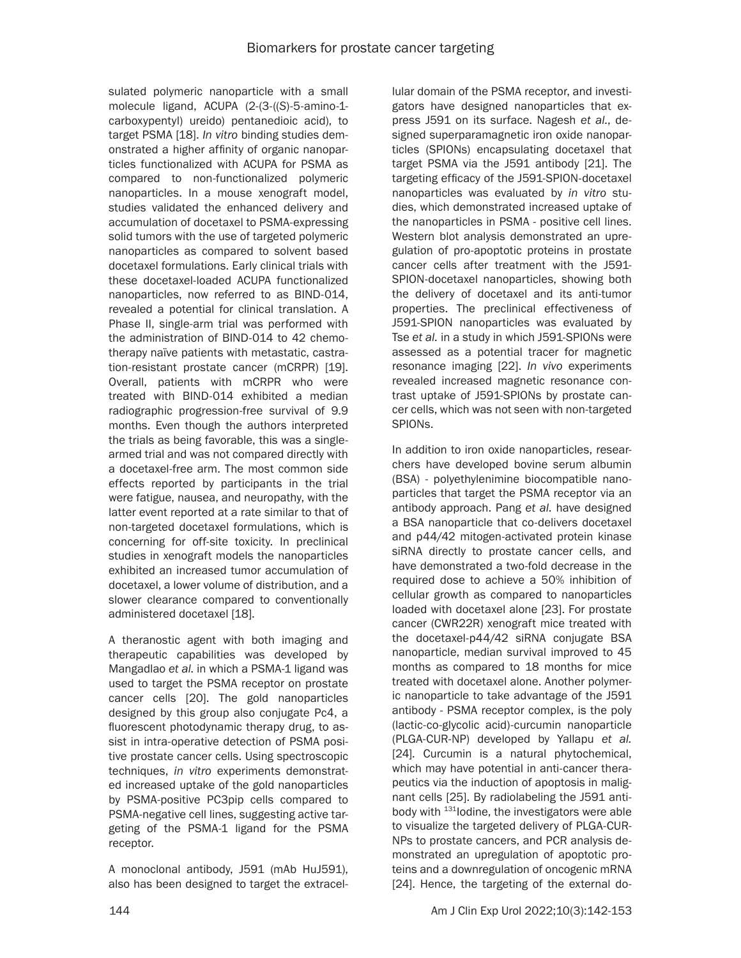sulated polymeric nanoparticle with a small molecule ligand, ACUPA (2-(3-((*S*)-5-amino-1 carboxypentyl) ureido) pentanedioic acid), to target PSMA [18]. *In vitro* binding studies demonstrated a higher affinity of organic nanoparticles functionalized with ACUPA for PSMA as compared to non-functionalized polymeric nanoparticles. In a mouse xenograft model, studies validated the enhanced delivery and accumulation of docetaxel to PSMA-expressing solid tumors with the use of targeted polymeric nanoparticles as compared to solvent based docetaxel formulations. Early clinical trials with these docetaxel-loaded ACUPA functionalized nanoparticles, now referred to as BIND-014, revealed a potential for clinical translation. A Phase II, single-arm trial was performed with the administration of BIND-014 to 42 chemotherapy naïve patients with metastatic, castration-resistant prostate cancer (mCRPR) [19]. Overall, patients with mCRPR who were treated with BIND-014 exhibited a median radiographic progression-free survival of 9.9 months. Even though the authors interpreted the trials as being favorable, this was a singlearmed trial and was not compared directly with a docetaxel-free arm. The most common side effects reported by participants in the trial were fatigue, nausea, and neuropathy, with the latter event reported at a rate similar to that of non-targeted docetaxel formulations, which is concerning for off-site toxicity. In preclinical studies in xenograft models the nanoparticles exhibited an increased tumor accumulation of docetaxel, a lower volume of distribution, and a slower clearance compared to conventionally administered docetaxel [18].

A theranostic agent with both imaging and therapeutic capabilities was developed by Mangadlao *et al*. in which a PSMA-1 ligand was used to target the PSMA receptor on prostate cancer cells [20]. The gold nanoparticles designed by this group also conjugate Pc4, a fluorescent photodynamic therapy drug, to assist in intra-operative detection of PSMA positive prostate cancer cells. Using spectroscopic techniques, *in vitro* experiments demonstrated increased uptake of the gold nanoparticles by PSMA-positive PC3pip cells compared to PSMA-negative cell lines, suggesting active targeting of the PSMA-1 ligand for the PSMA receptor.

A monoclonal antibody, J591 (mAb HuJ591), also has been designed to target the extracellular domain of the PSMA receptor, and investigators have designed nanoparticles that express J591 on its surface. Nagesh *et al.*, designed superparamagnetic iron oxide nanoparticles (SPIONs) encapsulating docetaxel that target PSMA via the J591 antibody [21]. The targeting efficacy of the J591-SPION-docetaxel nanoparticles was evaluated by *in vitro* studies, which demonstrated increased uptake of the nanoparticles in PSMA - positive cell lines. Western blot analysis demonstrated an upregulation of pro-apoptotic proteins in prostate cancer cells after treatment with the J591- SPION-docetaxel nanoparticles, showing both the delivery of docetaxel and its anti-tumor properties. The preclinical effectiveness of J591-SPION nanoparticles was evaluated by Tse *et al.* in a study in which J591-SPIONs were assessed as a potential tracer for magnetic resonance imaging [22]. *In vivo* experiments revealed increased magnetic resonance contrast uptake of J591-SPIONs by prostate cancer cells, which was not seen with non-targeted SPIONs.

In addition to iron oxide nanoparticles, researchers have developed bovine serum albumin (BSA) - polyethylenimine biocompatible nanoparticles that target the PSMA receptor via an antibody approach. Pang *et al.* have designed a BSA nanoparticle that co-delivers docetaxel and p44/42 mitogen-activated protein kinase siRNA directly to prostate cancer cells, and have demonstrated a two-fold decrease in the required dose to achieve a 50% inhibition of cellular growth as compared to nanoparticles loaded with docetaxel alone [23]. For prostate cancer (CWR22R) xenograft mice treated with the docetaxel-p44/42 siRNA conjugate BSA nanoparticle, median survival improved to 45 months as compared to 18 months for mice treated with docetaxel alone. Another polymeric nanoparticle to take advantage of the J591 antibody - PSMA receptor complex, is the poly (lactic-co-glycolic acid)-curcumin nanoparticle (PLGA-CUR-NP) developed by Yallapu *et al.* [24]*.* Curcumin is a natural phytochemical, which may have potential in anti-cancer therapeutics via the induction of apoptosis in malignant cells [25]. By radiolabeling the J591 antibody with  $131$  lodine, the investigators were able to visualize the targeted delivery of PLGA-CUR-NPs to prostate cancers, and PCR analysis demonstrated an upregulation of apoptotic proteins and a downregulation of oncogenic mRNA [24]. Hence, the targeting of the external do-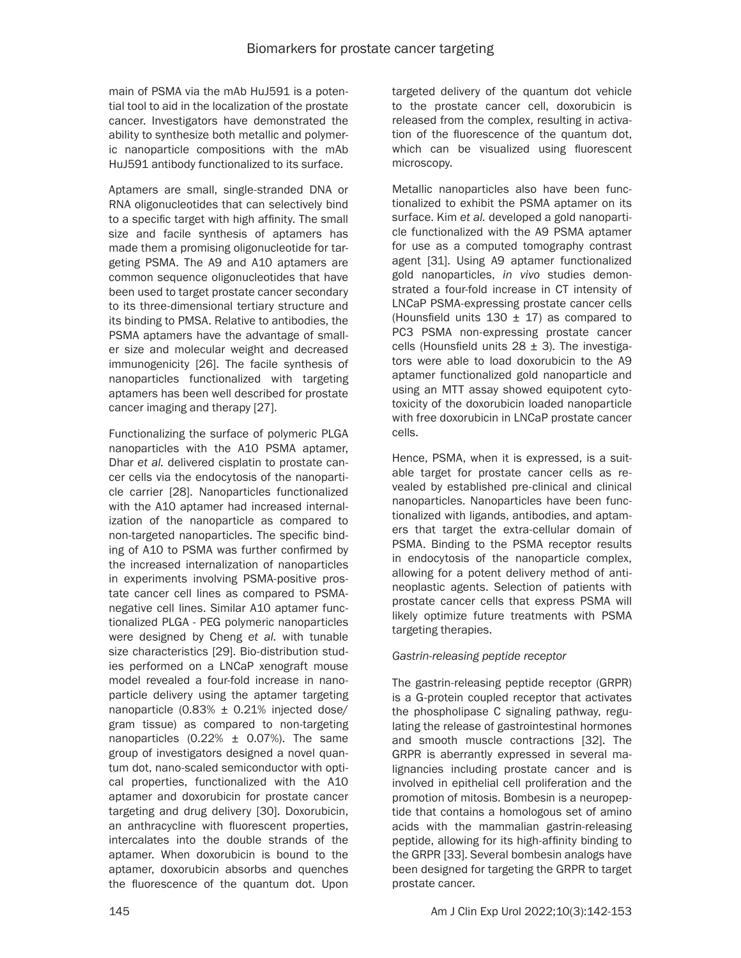main of PSMA via the mAb HuJ591 is a potential tool to aid in the localization of the prostate cancer. Investigators have demonstrated the ability to synthesize both metallic and polymeric nanoparticle compositions with the mAb HuJ591 antibody functionalized to its surface.

Aptamers are small, single-stranded DNA or RNA oligonucleotides that can selectively bind to a specific target with high affinity. The small size and facile synthesis of aptamers has made them a promising oligonucleotide for targeting PSMA. The A9 and A10 aptamers are common sequence oligonucleotides that have been used to target prostate cancer secondary to its three-dimensional tertiary structure and its binding to PMSA. Relative to antibodies, the PSMA aptamers have the advantage of smaller size and molecular weight and decreased immunogenicity [26]. The facile synthesis of nanoparticles functionalized with targeting aptamers has been well described for prostate cancer imaging and therapy [27].

Functionalizing the surface of polymeric PLGA nanoparticles with the A10 PSMA aptamer, Dhar *et al.* delivered cisplatin to prostate cancer cells via the endocytosis of the nanoparticle carrier [28]. Nanoparticles functionalized with the A10 aptamer had increased internalization of the nanoparticle as compared to non-targeted nanoparticles. The specific binding of A10 to PSMA was further confirmed by the increased internalization of nanoparticles in experiments involving PSMA-positive prostate cancer cell lines as compared to PSMAnegative cell lines. Similar A10 aptamer functionalized PLGA - PEG polymeric nanoparticles were designed by Cheng *et al.* with tunable size characteristics [29]. Bio-distribution studies performed on a LNCaP xenograft mouse model revealed a four-fold increase in nanoparticle delivery using the aptamer targeting nanoparticle  $(0.83% \pm 0.21%$  injected dose/ gram tissue) as compared to non-targeting nanoparticles  $(0.22\% \pm 0.07\%)$ . The same group of investigators designed a novel quantum dot, nano-scaled semiconductor with optical properties, functionalized with the A10 aptamer and doxorubicin for prostate cancer targeting and drug delivery [30]. Doxorubicin, an anthracycline with fluorescent properties, intercalates into the double strands of the aptamer. When doxorubicin is bound to the aptamer, doxorubicin absorbs and quenches the fluorescence of the quantum dot. Upon

targeted delivery of the quantum dot vehicle to the prostate cancer cell, doxorubicin is released from the complex, resulting in activation of the fluorescence of the quantum dot, which can be visualized using fluorescent microscopy.

Metallic nanoparticles also have been functionalized to exhibit the PSMA aptamer on its surface. Kim *et al.* developed a gold nanoparticle functionalized with the A9 PSMA aptamer for use as a computed tomography contrast agent [31]. Using A9 aptamer functionalized gold nanoparticles, *in vivo* studies demonstrated a four-fold increase in CT intensity of LNCaP PSMA-expressing prostate cancer cells (Hounsfield units  $130 \pm 17$ ) as compared to PC3 PSMA non-expressing prostate cancer cells (Hounsfield units  $28 \pm 3$ ). The investigators were able to load doxorubicin to the A9 aptamer functionalized gold nanoparticle and using an MTT assay showed equipotent cytotoxicity of the doxorubicin loaded nanoparticle with free doxorubicin in LNCaP prostate cancer cells.

Hence, PSMA, when it is expressed, is a suitable target for prostate cancer cells as revealed by established pre-clinical and clinical nanoparticles. Nanoparticles have been functionalized with ligands, antibodies, and aptamers that target the extra-cellular domain of PSMA. Binding to the PSMA receptor results in endocytosis of the nanoparticle complex, allowing for a potent delivery method of antineoplastic agents. Selection of patients with prostate cancer cells that express PSMA will likely optimize future treatments with PSMA targeting therapies.

# *Gastrin-releasing peptide receptor*

The gastrin-releasing peptide receptor (GRPR) is a G-protein coupled receptor that activates the phospholipase C signaling pathway, regulating the release of gastrointestinal hormones and smooth muscle contractions [32]. The GRPR is aberrantly expressed in several malignancies including prostate cancer and is involved in epithelial cell proliferation and the promotion of mitosis. Bombesin is a neuropeptide that contains a homologous set of amino acids with the mammalian gastrin-releasing peptide, allowing for its high-affinity binding to the GRPR [33]. Several bombesin analogs have been designed for targeting the GRPR to target prostate cancer.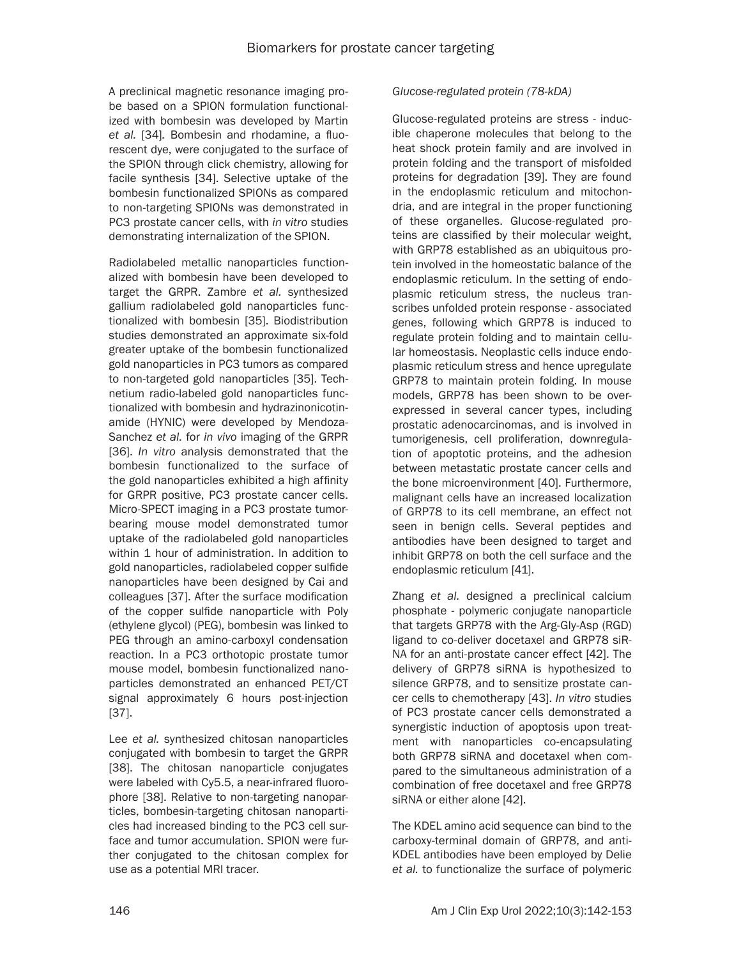A preclinical magnetic resonance imaging probe based on a SPION formulation functionalized with bombesin was developed by Martin *et al.* [34]*.* Bombesin and rhodamine, a fluorescent dye, were conjugated to the surface of the SPION through click chemistry, allowing for facile synthesis [34]. Selective uptake of the bombesin functionalized SPIONs as compared to non-targeting SPIONs was demonstrated in PC3 prostate cancer cells, with *in vitro* studies demonstrating internalization of the SPION.

Radiolabeled metallic nanoparticles functionalized with bombesin have been developed to target the GRPR. Zambre *et al.* synthesized gallium radiolabeled gold nanoparticles functionalized with bombesin [35]. Biodistribution studies demonstrated an approximate six-fold greater uptake of the bombesin functionalized gold nanoparticles in PC3 tumors as compared to non-targeted gold nanoparticles [35]. Technetium radio-labeled gold nanoparticles functionalized with bombesin and hydrazinonicotinamide (HYNIC) were developed by Mendoza-Sanchez *et al.* for *in vivo* imaging of the GRPR [36]. *In vitro* analysis demonstrated that the bombesin functionalized to the surface of the gold nanoparticles exhibited a high affinity for GRPR positive, PC3 prostate cancer cells. Micro-SPECT imaging in a PC3 prostate tumorbearing mouse model demonstrated tumor uptake of the radiolabeled gold nanoparticles within 1 hour of administration. In addition to gold nanoparticles, radiolabeled copper sulfide nanoparticles have been designed by Cai and colleagues [37]. After the surface modification of the copper sulfide nanoparticle with Poly (ethylene glycol) (PEG), bombesin was linked to PEG through an amino-carboxyl condensation reaction. In a PC3 orthotopic prostate tumor mouse model, bombesin functionalized nanoparticles demonstrated an enhanced PET/CT signal approximately 6 hours post-injection [37].

Lee *et al.* synthesized chitosan nanoparticles conjugated with bombesin to target the GRPR [38]. The chitosan nanoparticle conjugates were labeled with Cy5.5, a near-infrared fluorophore [38]. Relative to non-targeting nanoparticles, bombesin-targeting chitosan nanoparticles had increased binding to the PC3 cell surface and tumor accumulation. SPION were further conjugated to the chitosan complex for use as a potential MRI tracer.

# *Glucose-regulated protein (78-kDA)*

Glucose-regulated proteins are stress - inducible chaperone molecules that belong to the heat shock protein family and are involved in protein folding and the transport of misfolded proteins for degradation [39]. They are found in the endoplasmic reticulum and mitochondria, and are integral in the proper functioning of these organelles. Glucose-regulated proteins are classified by their molecular weight, with GRP78 established as an ubiquitous protein involved in the homeostatic balance of the endoplasmic reticulum. In the setting of endoplasmic reticulum stress, the nucleus transcribes unfolded protein response - associated genes, following which GRP78 is induced to regulate protein folding and to maintain cellular homeostasis. Neoplastic cells induce endoplasmic reticulum stress and hence upregulate GRP78 to maintain protein folding. In mouse models, GRP78 has been shown to be overexpressed in several cancer types, including prostatic adenocarcinomas, and is involved in tumorigenesis, cell proliferation, downregulation of apoptotic proteins, and the adhesion between metastatic prostate cancer cells and the bone microenvironment [40]. Furthermore, malignant cells have an increased localization of GRP78 to its cell membrane, an effect not seen in benign cells. Several peptides and antibodies have been designed to target and inhibit GRP78 on both the cell surface and the endoplasmic reticulum [41].

Zhang *et al.* designed a preclinical calcium phosphate - polymeric conjugate nanoparticle that targets GRP78 with the Arg-Gly-Asp (RGD) ligand to co-deliver docetaxel and GRP78 siR-NA for an anti-prostate cancer effect [42]. The delivery of GRP78 siRNA is hypothesized to silence GRP78, and to sensitize prostate cancer cells to chemotherapy [43]. *In vitro* studies of PC3 prostate cancer cells demonstrated a synergistic induction of apoptosis upon treatment with nanoparticles co-encapsulating both GRP78 siRNA and docetaxel when compared to the simultaneous administration of a combination of free docetaxel and free GRP78 siRNA or either alone [42].

The KDEL amino acid sequence can bind to the carboxy-terminal domain of GRP78, and anti-KDEL antibodies have been employed by Delie *et al.* to functionalize the surface of polymeric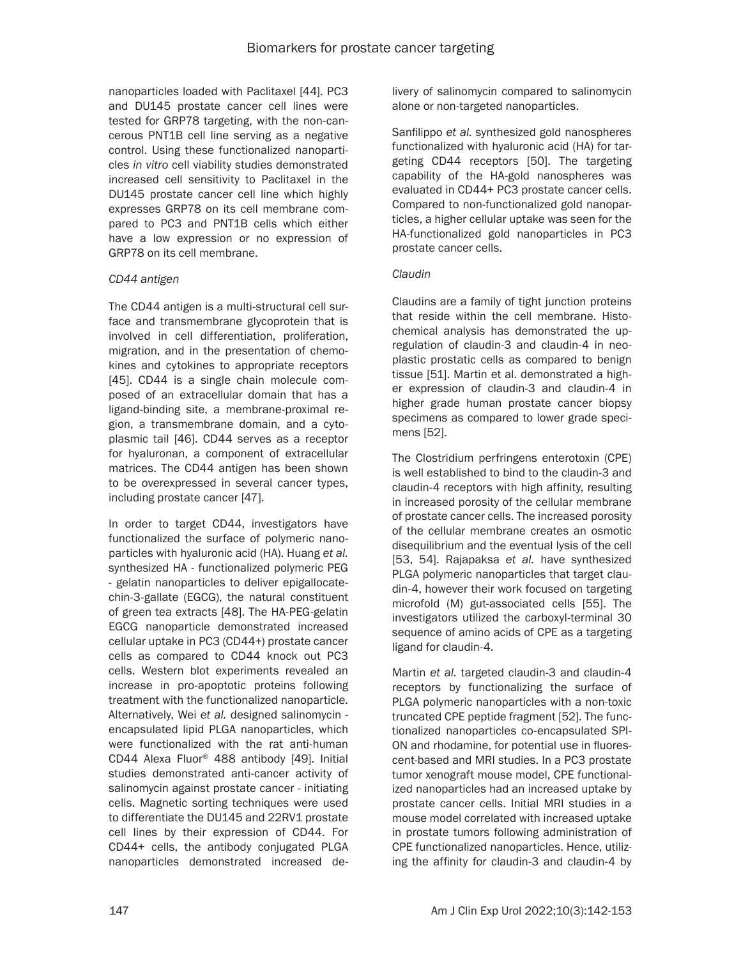nanoparticles loaded with Paclitaxel [44]. PC3 and DU145 prostate cancer cell lines were tested for GRP78 targeting, with the non-cancerous PNT1B cell line serving as a negative control. Using these functionalized nanoparticles *in vitro* cell viability studies demonstrated increased cell sensitivity to Paclitaxel in the DU145 prostate cancer cell line which highly expresses GRP78 on its cell membrane compared to PC3 and PNT1B cells which either have a low expression or no expression of GRP78 on its cell membrane.

# *CD44 antigen*

The CD44 antigen is a multi-structural cell surface and transmembrane glycoprotein that is involved in cell differentiation, proliferation, migration, and in the presentation of chemokines and cytokines to appropriate receptors [45]. CD44 is a single chain molecule composed of an extracellular domain that has a ligand-binding site, a membrane-proximal region, a transmembrane domain, and a cytoplasmic tail [46]. CD44 serves as a receptor for hyaluronan, a component of extracellular matrices. The CD44 antigen has been shown to be overexpressed in several cancer types, including prostate cancer [47].

In order to target CD44, investigators have functionalized the surface of polymeric nanoparticles with hyaluronic acid (HA). Huang *et al.*  synthesized HA - functionalized polymeric PEG - gelatin nanoparticles to deliver epigallocatechin-3-gallate (EGCG), the natural constituent of green tea extracts [48]. The HA-PEG-gelatin EGCG nanoparticle demonstrated increased cellular uptake in PC3 (CD44+) prostate cancer cells as compared to CD44 knock out PC3 cells. Western blot experiments revealed an increase in pro-apoptotic proteins following treatment with the functionalized nanoparticle. Alternatively, Wei *et al.* designed salinomycin encapsulated lipid PLGA nanoparticles, which were functionalized with the rat anti-human CD44 Alexa Fluor® 488 antibody [49]. Initial studies demonstrated anti-cancer activity of salinomycin against prostate cancer - initiating cells. Magnetic sorting techniques were used to differentiate the DU145 and 22RV1 prostate cell lines by their expression of CD44. For CD44+ cells, the antibody conjugated PLGA nanoparticles demonstrated increased delivery of salinomycin compared to salinomycin alone or non-targeted nanoparticles.

Sanfilippo *et al*. synthesized gold nanospheres functionalized with hyaluronic acid (HA) for targeting CD44 receptors [50]. The targeting capability of the HA-gold nanospheres was evaluated in CD44+ PC3 prostate cancer cells. Compared to non-functionalized gold nanoparticles, a higher cellular uptake was seen for the HA-functionalized gold nanoparticles in PC3 prostate cancer cells.

# *Claudin*

Claudins are a family of tight junction proteins that reside within the cell membrane. Histochemical analysis has demonstrated the upregulation of claudin-3 and claudin-4 in neoplastic prostatic cells as compared to benign tissue [51]. Martin et al. demonstrated a higher expression of claudin-3 and claudin-4 in higher grade human prostate cancer biopsy specimens as compared to lower grade specimens [52].

The Clostridium perfringens enterotoxin (CPE) is well established to bind to the claudin-3 and claudin-4 receptors with high affinity, resulting in increased porosity of the cellular membrane of prostate cancer cells. The increased porosity of the cellular membrane creates an osmotic disequilibrium and the eventual lysis of the cell [53, 54]. Rajapaksa *et al.* have synthesized PLGA polymeric nanoparticles that target claudin-4, however their work focused on targeting microfold (M) gut-associated cells [55]. The investigators utilized the carboxyl-terminal 30 sequence of amino acids of CPE as a targeting ligand for claudin-4.

Martin *et al.* targeted claudin-3 and claudin-4 receptors by functionalizing the surface of PLGA polymeric nanoparticles with a non-toxic truncated CPE peptide fragment [52]. The functionalized nanoparticles co-encapsulated SPI-ON and rhodamine, for potential use in fluorescent-based and MRI studies. In a PC3 prostate tumor xenograft mouse model, CPE functionalized nanoparticles had an increased uptake by prostate cancer cells. Initial MRI studies in a mouse model correlated with increased uptake in prostate tumors following administration of CPE functionalized nanoparticles. Hence, utilizing the affinity for claudin-3 and claudin-4 by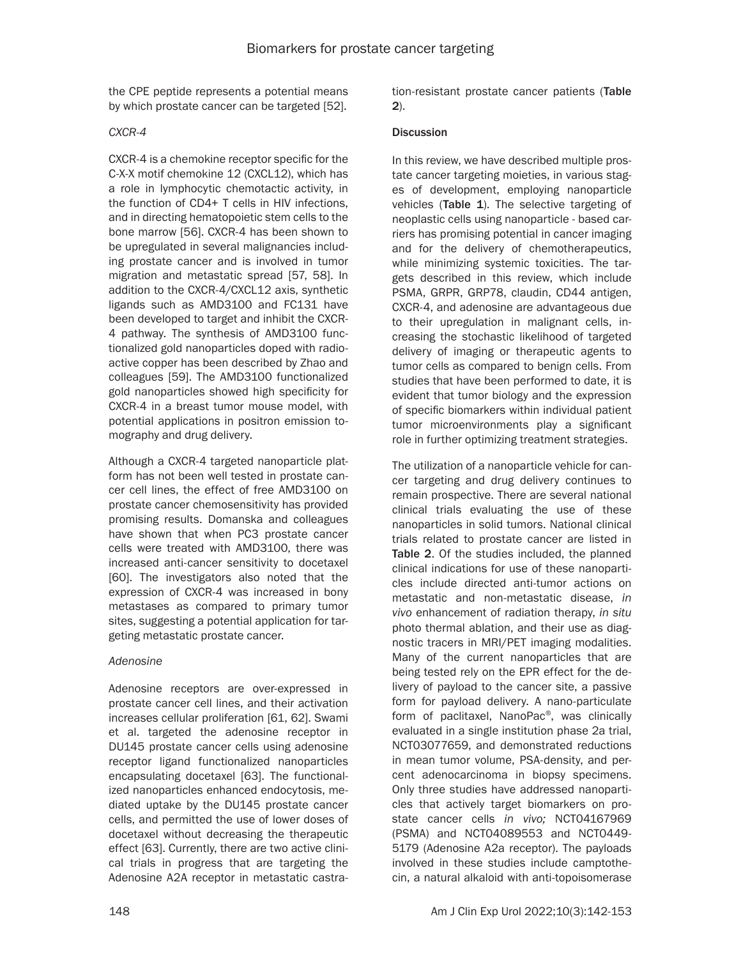the CPE peptide represents a potential means by which prostate cancer can be targeted [52].

# *CXCR-4*

CXCR-4 is a chemokine receptor specific for the C-X-X motif chemokine 12 (CXCL12), which has a role in lymphocytic chemotactic activity, in the function of CD4+ T cells in HIV infections, and in directing hematopoietic stem cells to the bone marrow [56]. CXCR-4 has been shown to be upregulated in several malignancies including prostate cancer and is involved in tumor migration and metastatic spread [57, 58]. In addition to the CXCR-4/CXCL12 axis, synthetic ligands such as AMD3100 and FC131 have been developed to target and inhibit the CXCR-4 pathway. The synthesis of AMD3100 functionalized gold nanoparticles doped with radioactive copper has been described by Zhao and colleagues [59]. The AMD3100 functionalized gold nanoparticles showed high specificity for CXCR-4 in a breast tumor mouse model, with potential applications in positron emission tomography and drug delivery.

Although a CXCR-4 targeted nanoparticle platform has not been well tested in prostate cancer cell lines, the effect of free AMD3100 on prostate cancer chemosensitivity has provided promising results. Domanska and colleagues have shown that when PC3 prostate cancer cells were treated with AMD3100, there was increased anti-cancer sensitivity to docetaxel [60]. The investigators also noted that the expression of CXCR-4 was increased in bony metastases as compared to primary tumor sites, suggesting a potential application for targeting metastatic prostate cancer.

# *Adenosine*

Adenosine receptors are over-expressed in prostate cancer cell lines, and their activation increases cellular proliferation [61, 62]. Swami et al. targeted the adenosine receptor in DU145 prostate cancer cells using adenosine receptor ligand functionalized nanoparticles encapsulating docetaxel [63]. The functionalized nanoparticles enhanced endocytosis, mediated uptake by the DU145 prostate cancer cells, and permitted the use of lower doses of docetaxel without decreasing the therapeutic effect [63]. Currently, there are two active clinical trials in progress that are targeting the Adenosine A2A receptor in metastatic castration-resistant prostate cancer patients (Table 2).

# **Discussion**

In this review, we have described multiple prostate cancer targeting moieties, in various stages of development, employing nanoparticle vehicles (Table 1). The selective targeting of neoplastic cells using nanoparticle - based carriers has promising potential in cancer imaging and for the delivery of chemotherapeutics, while minimizing systemic toxicities. The targets described in this review, which include PSMA, GRPR, GRP78, claudin, CD44 antigen, CXCR-4, and adenosine are advantageous due to their upregulation in malignant cells, increasing the stochastic likelihood of targeted delivery of imaging or therapeutic agents to tumor cells as compared to benign cells. From studies that have been performed to date, it is evident that tumor biology and the expression of specific biomarkers within individual patient tumor microenvironments play a significant role in further optimizing treatment strategies.

The utilization of a nanoparticle vehicle for cancer targeting and drug delivery continues to remain prospective. There are several national clinical trials evaluating the use of these nanoparticles in solid tumors. National clinical trials related to prostate cancer are listed in Table 2. Of the studies included, the planned clinical indications for use of these nanoparticles include directed anti-tumor actions on metastatic and non-metastatic disease, *in vivo* enhancement of radiation therapy, *in situ* photo thermal ablation, and their use as diagnostic tracers in MRI/PET imaging modalities. Many of the current nanoparticles that are being tested rely on the EPR effect for the delivery of payload to the cancer site, a passive form for payload delivery. A nano-particulate form of paclitaxel, NanoPac®, was clinically evaluated in a single institution phase 2a trial, NCT03077659, and demonstrated reductions in mean tumor volume, PSA-density, and percent adenocarcinoma in biopsy specimens. Only three studies have addressed nanoparticles that actively target biomarkers on prostate cancer cells *in vivo;* NCT04167969 (PSMA) and NCT04089553 and NCT0449- 5179 (Adenosine A2a receptor). The payloads involved in these studies include camptothecin, a natural alkaloid with anti-topoisomerase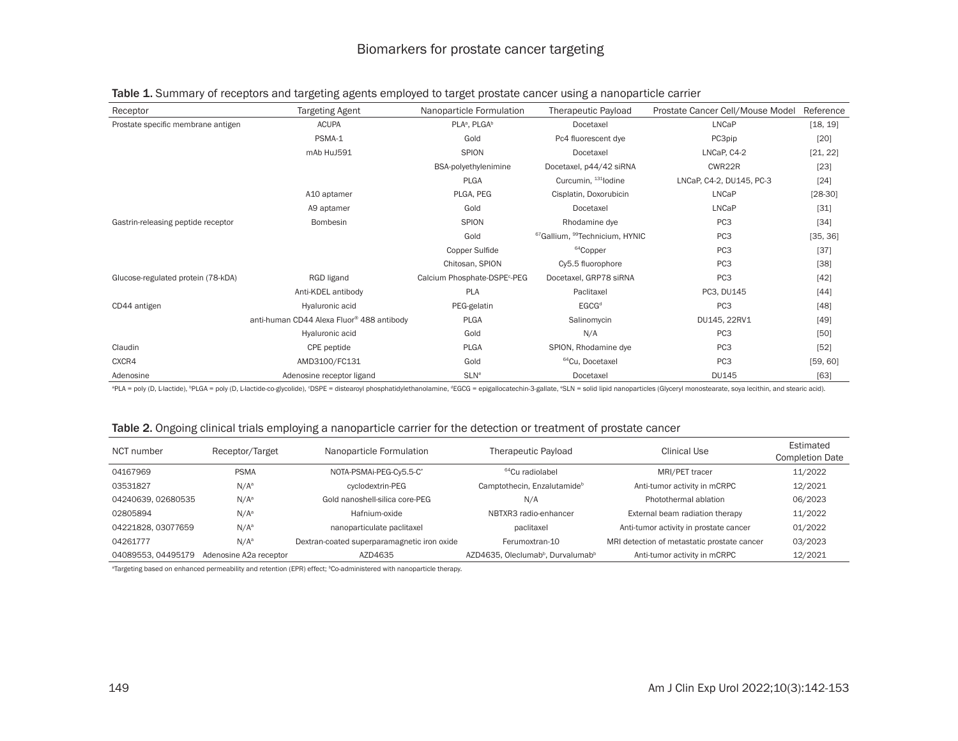| Receptor                           | <b>Targeting Agent</b>                                | Nanoparticle Formulation                 | <b>Therapeutic Payload</b>                             | Prostate Cancer Cell/Mouse Model | Reference |
|------------------------------------|-------------------------------------------------------|------------------------------------------|--------------------------------------------------------|----------------------------------|-----------|
| Prostate specific membrane antigen | <b>ACUPA</b>                                          | PLA <sup>a</sup> , PLGA <sup>b</sup>     | Docetaxel                                              | LNCaP                            | [18, 19]  |
|                                    | PSMA-1                                                | Gold                                     | Pc4 fluorescent dye                                    | PC3pip                           | [20]      |
|                                    | mAb HuJ591                                            | <b>SPION</b>                             | Docetaxel                                              | LNCaP, C4-2                      | [21, 22]  |
|                                    |                                                       | BSA-polyethylenimine                     | Docetaxel, p44/42 siRNA                                | CWR22R                           | $[23]$    |
|                                    |                                                       | <b>PLGA</b>                              | Curcumin, 131 lodine                                   | LNCaP, C4-2, DU145, PC-3         | $[24]$    |
|                                    | A10 aptamer                                           | PLGA, PEG                                | Cisplatin, Doxorubicin                                 | LNCaP                            | $[28-30]$ |
|                                    | A9 aptamer                                            | Gold                                     | Docetaxel                                              | <b>LNCaP</b>                     | $[31]$    |
| Gastrin-releasing peptide receptor | Bombesin                                              | <b>SPION</b>                             | Rhodamine dye                                          | PC <sub>3</sub>                  | $[34]$    |
|                                    |                                                       | Gold                                     | <sup>67</sup> Gallium, <sup>99</sup> Technicium, HYNIC | PC <sub>3</sub>                  | [35, 36]  |
|                                    |                                                       | Copper Sulfide                           | <sup>64</sup> Copper                                   | PC <sub>3</sub>                  | $[37]$    |
|                                    |                                                       | Chitosan, SPION                          | Cy5.5 fluorophore                                      | PC <sub>3</sub>                  | $[38]$    |
| Glucose-regulated protein (78-kDA) | RGD ligand                                            | Calcium Phosphate-DSPE <sup>c</sup> -PEG | Docetaxel, GRP78 siRNA                                 | PC <sub>3</sub>                  | $[42]$    |
|                                    | Anti-KDEL antibody                                    | PLA                                      | Paclitaxel                                             | PC3, DU145                       | $[44]$    |
| CD44 antigen                       | Hyaluronic acid                                       | PEG-gelatin                              | EGCG <sup>d</sup>                                      | PC <sub>3</sub>                  | [48]      |
|                                    | anti-human CD44 Alexa Fluor <sup>®</sup> 488 antibody | <b>PLGA</b>                              | Salinomycin                                            | DU145, 22RV1                     | $[49]$    |
|                                    | Hyaluronic acid                                       | Gold                                     | N/A                                                    | PC <sub>3</sub>                  | $[50]$    |
| Claudin                            | CPE peptide                                           | <b>PLGA</b>                              | SPION, Rhodamine dye                                   | PC <sub>3</sub>                  | $[52]$    |
| CXCR4                              | AMD3100/FC131                                         | Gold                                     | <sup>64</sup> Cu, Docetaxel                            | PC <sub>3</sub>                  | [59, 60]  |
| Adenosine                          | Adenosine receptor ligand                             | <b>SLN<sup>e</sup></b>                   | Docetaxel                                              | <b>DU145</b>                     | $[63]$    |

# Table 1. Summary of receptors and targeting agents employed to target prostate cancer using a nanoparticle carrier

®PLA = poly (D, L-lactide), ®PLGA = poly (D, L-lactide-co-glycolide), °DSPE = distearoyl phosphatidylethanolamine, ®EGCG = epigallocatechin-3-gallate, ®SLN = solid lipid nanoparticles (Glyceryl monostearate, soya lecithin

#### Table 2. Ongoing clinical trials employing a nanoparticle carrier for the detection or treatment of prostate cancer

| NCT number         | Receptor/Target        | Nanoparticle Formulation                    | <b>Therapeutic Payload</b>                                | Clinical Use                                | Estimated<br><b>Completion Date</b> |
|--------------------|------------------------|---------------------------------------------|-----------------------------------------------------------|---------------------------------------------|-------------------------------------|
| 04167969           | <b>PSMA</b>            | NOTA-PSMAi-PEG-Cy5.5-C'                     | <sup>64</sup> Cu radiolabel                               | MRI/PET tracer                              | 11/2022                             |
| 03531827           | $N/A^a$                | cyclodextrin-PEG                            | Camptothecin, Enzalutamide <sup>b</sup>                   | Anti-tumor activity in mCRPC                | 12/2021                             |
| 04240639, 02680535 | $N/A^a$                | Gold nanoshell-silica core-PEG              | N/A                                                       | Photothermal ablation                       | 06/2023                             |
| 02805894           | $N/A^a$                | Hafnium-oxide                               | NBTXR3 radio-enhancer                                     | External beam radiation therapy             | 11/2022                             |
| 04221828, 03077659 | $N/A^a$                | nanoparticulate paclitaxel                  | paclitaxel                                                | Anti-tumor activity in prostate cancer      | 01/2022                             |
| 04261777           | $N/A^a$                | Dextran-coated superparamagnetic iron oxide | Ferumoxtran-10                                            | MRI detection of metastatic prostate cancer | 03/2023                             |
| 04089553.04495179  | Adenosine A2a receptor | AZD4635                                     | AZD4635. Oleclumab <sup>b</sup> . Durvalumab <sup>b</sup> | Anti-tumor activity in mCRPC                | 12/2021                             |

<sup>a</sup>Targeting based on enhanced permeability and retention (EPR) effect; <sup>b</sup>Co-administered with nanoparticle therapy.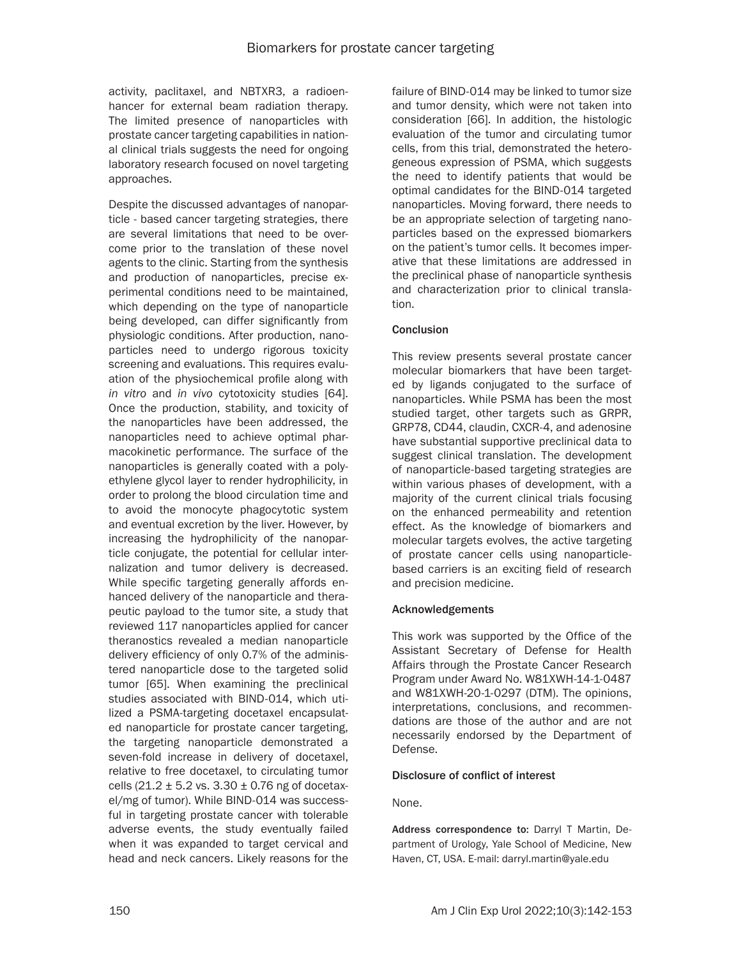activity, paclitaxel, and NBTXR3, a radioenhancer for external beam radiation therapy. The limited presence of nanoparticles with prostate cancer targeting capabilities in national clinical trials suggests the need for ongoing laboratory research focused on novel targeting approaches.

Despite the discussed advantages of nanoparticle - based cancer targeting strategies, there are several limitations that need to be overcome prior to the translation of these novel agents to the clinic. Starting from the synthesis and production of nanoparticles, precise experimental conditions need to be maintained, which depending on the type of nanoparticle being developed, can differ significantly from physiologic conditions. After production, nanoparticles need to undergo rigorous toxicity screening and evaluations. This requires evaluation of the physiochemical profile along with *in vitro* and *in vivo* cytotoxicity studies [64]. Once the production, stability, and toxicity of the nanoparticles have been addressed, the nanoparticles need to achieve optimal pharmacokinetic performance. The surface of the nanoparticles is generally coated with a polyethylene glycol layer to render hydrophilicity, in order to prolong the blood circulation time and to avoid the monocyte phagocytotic system and eventual excretion by the liver. However, by increasing the hydrophilicity of the nanoparticle conjugate, the potential for cellular internalization and tumor delivery is decreased. While specific targeting generally affords enhanced delivery of the nanoparticle and therapeutic payload to the tumor site, a study that reviewed 117 nanoparticles applied for cancer theranostics revealed a median nanoparticle delivery efficiency of only 0.7% of the administered nanoparticle dose to the targeted solid tumor [65]. When examining the preclinical studies associated with BIND-014, which utilized a PSMA-targeting docetaxel encapsulated nanoparticle for prostate cancer targeting, the targeting nanoparticle demonstrated a seven-fold increase in delivery of docetaxel, relative to free docetaxel, to circulating tumor cells  $(21.2 \pm 5.2 \text{ vs. } 3.30 \pm 0.76 \text{ ng of doceta}$ el/mg of tumor). While BIND-014 was successful in targeting prostate cancer with tolerable adverse events, the study eventually failed when it was expanded to target cervical and head and neck cancers. Likely reasons for the

failure of BIND-014 may be linked to tumor size and tumor density, which were not taken into consideration [66]. In addition, the histologic evaluation of the tumor and circulating tumor cells, from this trial, demonstrated the heterogeneous expression of PSMA, which suggests the need to identify patients that would be optimal candidates for the BIND-014 targeted nanoparticles. Moving forward, there needs to be an appropriate selection of targeting nanoparticles based on the expressed biomarkers on the patient's tumor cells. It becomes imperative that these limitations are addressed in the preclinical phase of nanoparticle synthesis and characterization prior to clinical translation.

# Conclusion

This review presents several prostate cancer molecular biomarkers that have been targeted by ligands conjugated to the surface of nanoparticles. While PSMA has been the most studied target, other targets such as GRPR, GRP78, CD44, claudin, CXCR-4, and adenosine have substantial supportive preclinical data to suggest clinical translation. The development of nanoparticle-based targeting strategies are within various phases of development, with a majority of the current clinical trials focusing on the enhanced permeability and retention effect. As the knowledge of biomarkers and molecular targets evolves, the active targeting of prostate cancer cells using nanoparticlebased carriers is an exciting field of research and precision medicine.

# Acknowledgements

This work was supported by the Office of the Assistant Secretary of Defense for Health Affairs through the Prostate Cancer Research Program under Award No. W81XWH-14-1-0487 and W81XWH-20-1-0297 (DTM). The opinions, interpretations, conclusions, and recommendations are those of the author and are not necessarily endorsed by the Department of Defense.

# Disclosure of conflict of interest

# None.

Address correspondence to: Darryl T Martin, Department of Urology, Yale School of Medicine, New Haven, CT, USA. E-mail: [darryl.martin@yale.edu](mailto:darryl.martin@yale.edu)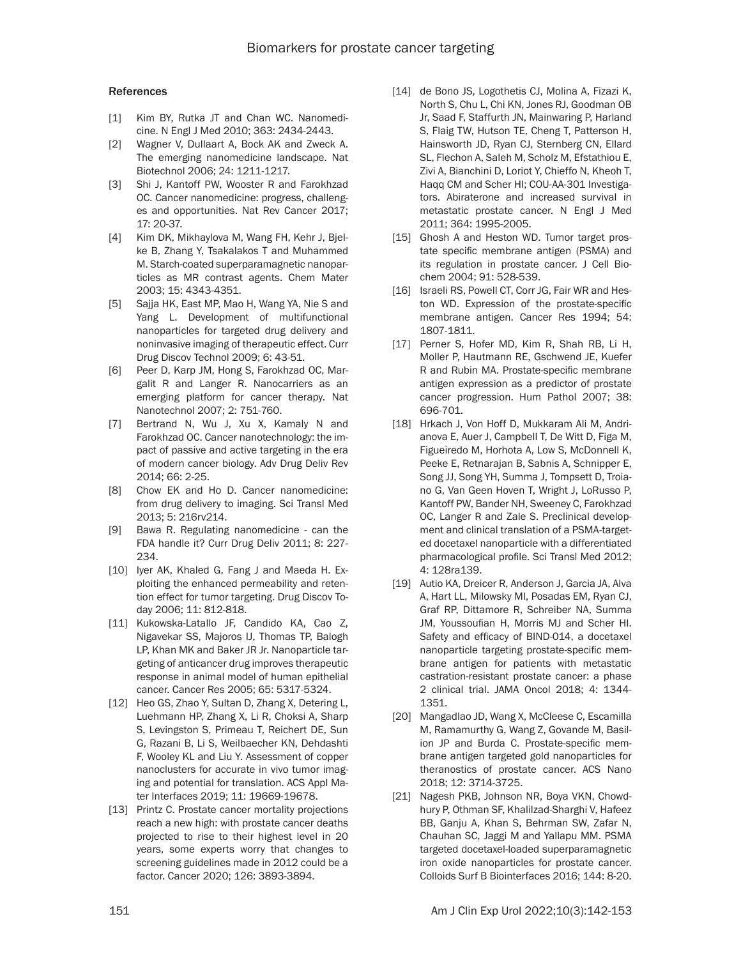### **References**

- [1] Kim BY, Rutka JT and Chan WC. Nanomedicine. N Engl J Med 2010; 363: 2434-2443.
- [2] Wagner V, Dullaart A, Bock AK and Zweck A. The emerging nanomedicine landscape. Nat Biotechnol 2006; 24: 1211-1217.
- [3] Shi J, Kantoff PW, Wooster R and Farokhzad OC. Cancer nanomedicine: progress, challenges and opportunities. Nat Rev Cancer 2017; 17: 20-37.
- [4] Kim DK, Mikhaylova M, Wang FH, Kehr J, Bjelke B, Zhang Y, Tsakalakos T and Muhammed M. Starch-coated superparamagnetic nanoparticles as MR contrast agents. Chem Mater 2003; 15: 4343-4351.
- [5] Sajja HK, East MP, Mao H, Wang YA, Nie S and Yang L. Development of multifunctional nanoparticles for targeted drug delivery and noninvasive imaging of therapeutic effect. Curr Drug Discov Technol 2009; 6: 43-51.
- [6] Peer D, Karp JM, Hong S, Farokhzad OC, Margalit R and Langer R. Nanocarriers as an emerging platform for cancer therapy. Nat Nanotechnol 2007; 2: 751-760.
- [7] Bertrand N, Wu J, Xu X, Kamaly N and Farokhzad OC. Cancer nanotechnology: the impact of passive and active targeting in the era of modern cancer biology. Adv Drug Deliv Rev 2014; 66: 2-25.
- [8] Chow EK and Ho D. Cancer nanomedicine: from drug delivery to imaging. Sci Transl Med 2013; 5: 216rv214.
- [9] Bawa R. Regulating nanomedicine can the FDA handle it? Curr Drug Deliv 2011; 8: 227- 234.
- [10] Iyer AK, Khaled G, Fang J and Maeda H. Exploiting the enhanced permeability and retention effect for tumor targeting. Drug Discov Today 2006; 11: 812-818.
- [11] Kukowska-Latallo JF, Candido KA, Cao Z, Nigavekar SS, Majoros IJ, Thomas TP, Balogh LP, Khan MK and Baker JR Jr. Nanoparticle targeting of anticancer drug improves therapeutic response in animal model of human epithelial cancer. Cancer Res 2005; 65: 5317-5324.
- [12] Heo GS, Zhao Y, Sultan D, Zhang X, Detering L, Luehmann HP, Zhang X, Li R, Choksi A, Sharp S, Levingston S, Primeau T, Reichert DE, Sun G, Razani B, Li S, Weilbaecher KN, Dehdashti F, Wooley KL and Liu Y. Assessment of copper nanoclusters for accurate in vivo tumor imaging and potential for translation. ACS Appl Mater Interfaces 2019; 11: 19669-19678.
- [13] Printz C. Prostate cancer mortality projections reach a new high: with prostate cancer deaths projected to rise to their highest level in 20 years, some experts worry that changes to screening guidelines made in 2012 could be a factor. Cancer 2020; 126: 3893-3894.
- [14] de Bono JS, Logothetis CJ, Molina A, Fizazi K, North S, Chu L, Chi KN, Jones RJ, Goodman OB Jr, Saad F, Staffurth JN, Mainwaring P, Harland S, Flaig TW, Hutson TE, Cheng T, Patterson H, Hainsworth JD, Ryan CJ, Sternberg CN, Ellard SL, Flechon A, Saleh M, Scholz M, Efstathiou E, Zivi A, Bianchini D, Loriot Y, Chieffo N, Kheoh T, Haqq CM and Scher HI; COU-AA-301 Investigators. Abiraterone and increased survival in metastatic prostate cancer. N Engl J Med 2011; 364: 1995-2005.
- [15] Ghosh A and Heston WD. Tumor target prostate specific membrane antigen (PSMA) and its regulation in prostate cancer. J Cell Biochem 2004; 91: 528-539.
- [16] Israeli RS, Powell CT, Corr JG, Fair WR and Heston WD. Expression of the prostate-specific membrane antigen. Cancer Res 1994; 54: 1807-1811.
- [17] Perner S, Hofer MD, Kim R, Shah RB, Li H, Moller P, Hautmann RE, Gschwend JE, Kuefer R and Rubin MA. Prostate-specific membrane antigen expression as a predictor of prostate cancer progression. Hum Pathol 2007; 38: 696-701.
- [18] Hrkach J, Von Hoff D, Mukkaram Ali M, Andrianova E, Auer J, Campbell T, De Witt D, Figa M, Figueiredo M, Horhota A, Low S, McDonnell K, Peeke E, Retnarajan B, Sabnis A, Schnipper E, Song JJ, Song YH, Summa J, Tompsett D, Troiano G, Van Geen Hoven T, Wright J, LoRusso P, Kantoff PW, Bander NH, Sweeney C, Farokhzad OC, Langer R and Zale S. Preclinical development and clinical translation of a PSMA-targeted docetaxel nanoparticle with a differentiated pharmacological profile. Sci Transl Med 2012; 4: 128ra139.
- [19] Autio KA, Dreicer R, Anderson J, Garcia JA, Alva A, Hart LL, Milowsky MI, Posadas EM, Ryan CJ, Graf RP, Dittamore R, Schreiber NA, Summa JM, Youssoufian H, Morris MJ and Scher HI. Safety and efficacy of BIND-014, a docetaxel nanoparticle targeting prostate-specific membrane antigen for patients with metastatic castration-resistant prostate cancer: a phase 2 clinical trial. JAMA Oncol 2018; 4: 1344- 1351.
- [20] Mangadlao JD, Wang X, McCleese C, Escamilla M, Ramamurthy G, Wang Z, Govande M, Basilion JP and Burda C. Prostate-specific membrane antigen targeted gold nanoparticles for theranostics of prostate cancer. ACS Nano 2018; 12: 3714-3725.
- [21] Nagesh PKB, Johnson NR, Boya VKN, Chowdhury P, Othman SF, Khalilzad-Sharghi V, Hafeez BB, Ganju A, Khan S, Behrman SW, Zafar N, Chauhan SC, Jaggi M and Yallapu MM. PSMA targeted docetaxel-loaded superparamagnetic iron oxide nanoparticles for prostate cancer. Colloids Surf B Biointerfaces 2016; 144: 8-20.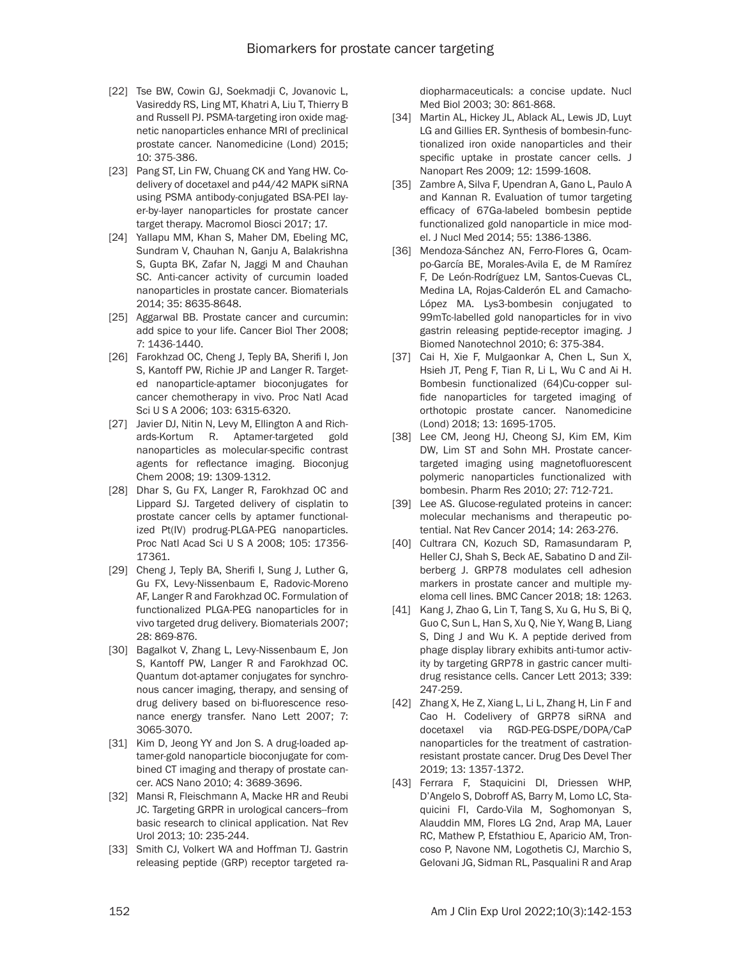- [22] Tse BW, Cowin GJ, Soekmadji C, Jovanovic L, Vasireddy RS, Ling MT, Khatri A, Liu T, Thierry B and Russell PJ. PSMA-targeting iron oxide magnetic nanoparticles enhance MRI of preclinical prostate cancer. Nanomedicine (Lond) 2015; 10: 375-386.
- [23] Pang ST, Lin FW, Chuang CK and Yang HW. Codelivery of docetaxel and p44/42 MAPK siRNA using PSMA antibody-conjugated BSA-PEI layer-by-layer nanoparticles for prostate cancer target therapy. Macromol Biosci 2017; 17.
- [24] Yallapu MM, Khan S, Maher DM, Ebeling MC, Sundram V, Chauhan N, Ganju A, Balakrishna S, Gupta BK, Zafar N, Jaggi M and Chauhan SC. Anti-cancer activity of curcumin loaded nanoparticles in prostate cancer. Biomaterials 2014; 35: 8635-8648.
- [25] Aggarwal BB. Prostate cancer and curcumin: add spice to your life. Cancer Biol Ther 2008; 7: 1436-1440.
- [26] Farokhzad OC, Cheng J, Teply BA, Sherifi I, Jon S, Kantoff PW, Richie JP and Langer R. Targeted nanoparticle-aptamer bioconjugates for cancer chemotherapy in vivo. Proc Natl Acad Sci U S A 2006; 103: 6315-6320.
- [27] Javier DJ, Nitin N, Levy M, Ellington A and Richards-Kortum R. Aptamer-targeted gold nanoparticles as molecular-specific contrast agents for reflectance imaging. Bioconjug Chem 2008; 19: 1309-1312.
- [28] Dhar S, Gu FX, Langer R, Farokhzad OC and Lippard SJ. Targeted delivery of cisplatin to prostate cancer cells by aptamer functionalized Pt(IV) prodrug-PLGA-PEG nanoparticles. Proc Natl Acad Sci U S A 2008; 105: 17356- 17361.
- [29] Cheng J, Teply BA, Sherifi I, Sung J, Luther G, Gu FX, Levy-Nissenbaum E, Radovic-Moreno AF, Langer R and Farokhzad OC. Formulation of functionalized PLGA-PEG nanoparticles for in vivo targeted drug delivery. Biomaterials 2007; 28: 869-876.
- [30] Bagalkot V, Zhang L, Levy-Nissenbaum E, Jon S, Kantoff PW, Langer R and Farokhzad OC. Quantum dot-aptamer conjugates for synchronous cancer imaging, therapy, and sensing of drug delivery based on bi-fluorescence resonance energy transfer. Nano Lett 2007; 7: 3065-3070.
- [31] Kim D, Jeong YY and Jon S. A drug-loaded aptamer-gold nanoparticle bioconjugate for combined CT imaging and therapy of prostate cancer. ACS Nano 2010; 4: 3689-3696.
- [32] Mansi R, Fleischmann A, Macke HR and Reubi JC. Targeting GRPR in urological cancers--from basic research to clinical application. Nat Rev Urol 2013; 10: 235-244.
- [33] Smith CJ, Volkert WA and Hoffman TJ. Gastrin releasing peptide (GRP) receptor targeted ra-

diopharmaceuticals: a concise update. Nucl Med Biol 2003; 30: 861-868.

- [34] Martin AL, Hickey JL, Ablack AL, Lewis JD, Luyt LG and Gillies ER. Synthesis of bombesin-functionalized iron oxide nanoparticles and their specific uptake in prostate cancer cells. J Nanopart Res 2009; 12: 1599-1608.
- [35] Zambre A, Silva F, Upendran A, Gano L, Paulo A and Kannan R. Evaluation of tumor targeting efficacy of 67Ga-labeled bombesin peptide functionalized gold nanoparticle in mice model. J Nucl Med 2014; 55: 1386-1386.
- [36] Mendoza-Sánchez AN, Ferro-Flores G, Ocampo-García BE, Morales-Avila E, de M Ramírez F, De León-Rodríguez LM, Santos-Cuevas CL, Medina LA, Rojas-Calderón EL and Camacho-López MA. Lys3-bombesin conjugated to 99mTc-labelled gold nanoparticles for in vivo gastrin releasing peptide-receptor imaging. J Biomed Nanotechnol 2010; 6: 375-384.
- [37] Cai H, Xie F, Mulgaonkar A, Chen L, Sun X, Hsieh JT, Peng F, Tian R, Li L, Wu C and Ai H. Bombesin functionalized (64)Cu-copper sulfide nanoparticles for targeted imaging of orthotopic prostate cancer. Nanomedicine (Lond) 2018; 13: 1695-1705.
- [38] Lee CM, Jeong HJ, Cheong SJ, Kim EM, Kim DW, Lim ST and Sohn MH. Prostate cancertargeted imaging using magnetofluorescent polymeric nanoparticles functionalized with bombesin. Pharm Res 2010; 27: 712-721.
- [39] Lee AS. Glucose-regulated proteins in cancer: molecular mechanisms and therapeutic potential. Nat Rev Cancer 2014; 14: 263-276.
- [40] Cultrara CN, Kozuch SD, Ramasundaram P, Heller CJ, Shah S, Beck AE, Sabatino D and Zilberberg J. GRP78 modulates cell adhesion markers in prostate cancer and multiple myeloma cell lines. BMC Cancer 2018; 18: 1263.
- [41] Kang J, Zhao G, Lin T, Tang S, Xu G, Hu S, Bi Q, Guo C, Sun L, Han S, Xu Q, Nie Y, Wang B, Liang S, Ding J and Wu K. A peptide derived from phage display library exhibits anti-tumor activity by targeting GRP78 in gastric cancer multidrug resistance cells. Cancer Lett 2013; 339: 247-259.
- [42] Zhang X, He Z, Xiang L, Li L, Zhang H, Lin F and Cao H. Codelivery of GRP78 siRNA and docetaxel via RGD-PEG-DSPE/DOPA/CaP nanoparticles for the treatment of castrationresistant prostate cancer. Drug Des Devel Ther 2019; 13: 1357-1372.
- [43] Ferrara F, Staquicini DI, Driessen WHP, D'Angelo S, Dobroff AS, Barry M, Lomo LC, Staquicini FI, Cardo-Vila M, Soghomonyan S, Alauddin MM, Flores LG 2nd, Arap MA, Lauer RC, Mathew P, Efstathiou E, Aparicio AM, Troncoso P, Navone NM, Logothetis CJ, Marchio S, Gelovani JG, Sidman RL, Pasqualini R and Arap